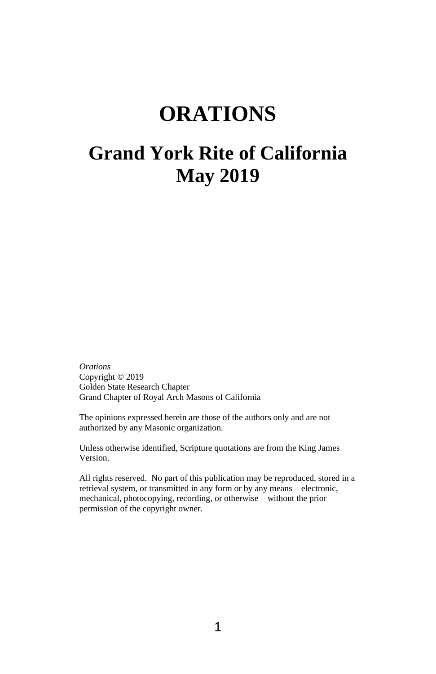# **ORATIONS**

# **Grand York Rite of California May 2019**

*Orations* Copyright © 2019 Golden State Research Chapter Grand Chapter of Royal Arch Masons of California

The opinions expressed herein are those of the authors only and are not authorized by any Masonic organization.

Unless otherwise identified, Scripture quotations are from the King James Version.

All rights reserved. No part of this publication may be reproduced, stored in a retrieval system, or transmitted in any form or by any means – electronic, mechanical, photocopying, recording, or otherwise – without the prior permission of the copyright owner.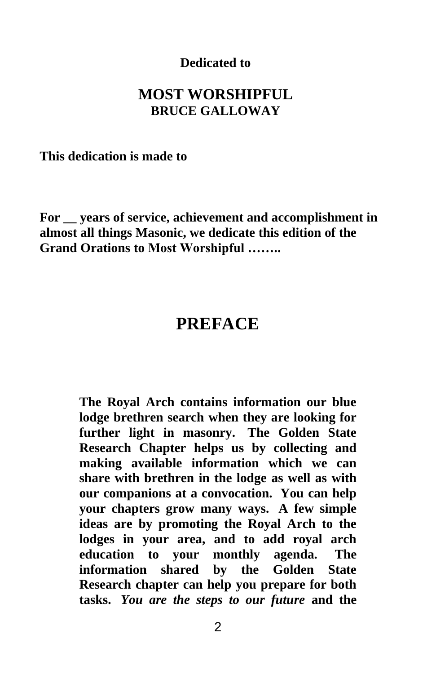#### **Dedicated to**

#### **MOST WORSHIPFUL BRUCE GALLOWAY**

**This dedication is made to** 

**For \_\_ years of service, achievement and accomplishment in almost all things Masonic, we dedicate this edition of the Grand Orations to Most Worshipful ……..** 

# **PREFACE**

**The Royal Arch contains information our blue lodge brethren search when they are looking for further light in masonry. The Golden State Research Chapter helps us by collecting and making available information which we can share with brethren in the lodge as well as with our companions at a convocation. You can help your chapters grow many ways. A few simple ideas are by promoting the Royal Arch to the lodges in your area, and to add royal arch education to your monthly agenda. The information shared by the Golden State Research chapter can help you prepare for both tasks.** *You are the steps to our future* **and the**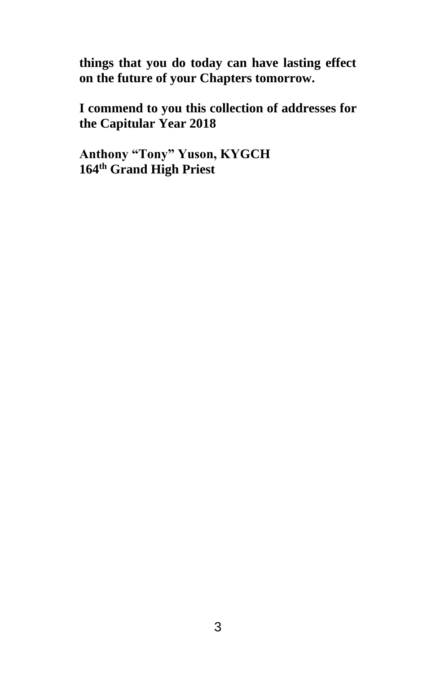**things that you do today can have lasting effect on the future of your Chapters tomorrow.**

**I commend to you this collection of addresses for the Capitular Year 2018**

**Anthony "Tony" Yuson, KYGCH 164 th Grand High Priest**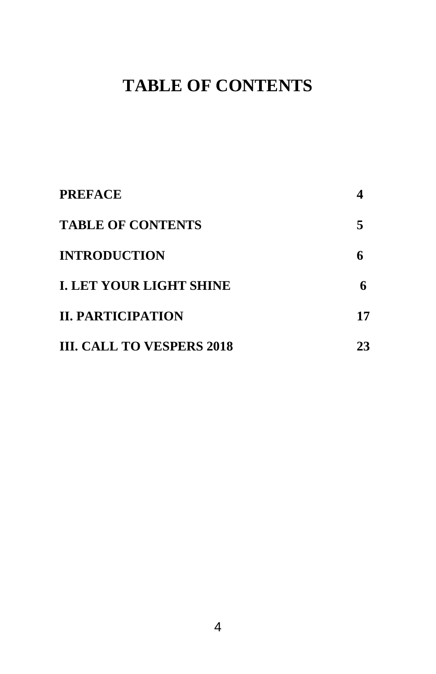# **TABLE OF CONTENTS**

| <b>PREFACE</b>                   |    |
|----------------------------------|----|
| <b>TABLE OF CONTENTS</b>         |    |
| <b>INTRODUCTION</b>              |    |
| <b>I. LET YOUR LIGHT SHINE</b>   |    |
| <b>II. PARTICIPATION</b>         | 17 |
| <b>III. CALL TO VESPERS 2018</b> | 23 |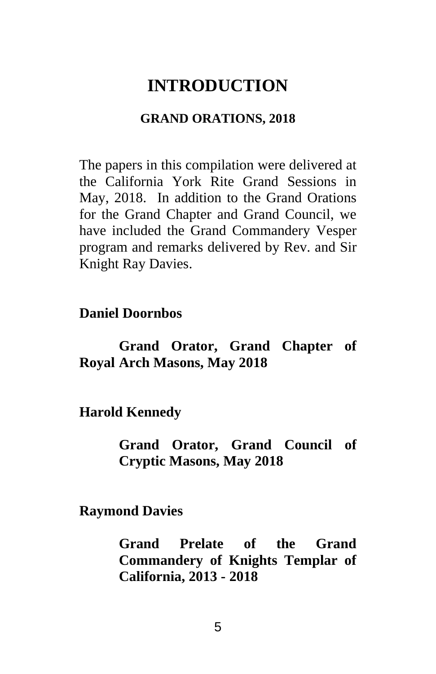# **INTRODUCTION**

#### **GRAND ORATIONS, 2018**

The papers in this compilation were delivered at the California York Rite Grand Sessions in May, 2018. In addition to the Grand Orations for the Grand Chapter and Grand Council, we have included the Grand Commandery Vesper program and remarks delivered by Rev. and Sir Knight Ray Davies.

**Daniel Doornbos**

**Grand Orator, Grand Chapter of Royal Arch Masons, May 2018**

**Harold Kennedy**

**Grand Orator, Grand Council of Cryptic Masons, May 2018**

**Raymond Davies**

**Grand Prelate of the Grand Commandery of Knights Templar of California, 2013 - 2018**

5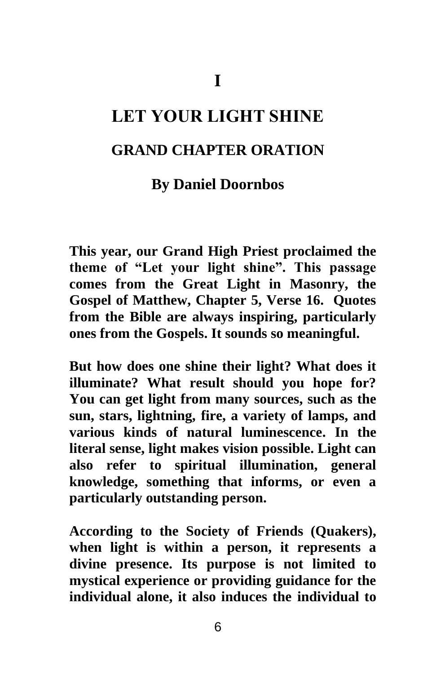**I**

# **LET YOUR LIGHT SHINE**

### **GRAND CHAPTER ORATION**

## **By Daniel Doornbos**

**This year, our Grand High Priest proclaimed the theme of "Let your light shine". This passage comes from the Great Light in Masonry, the Gospel of Matthew, Chapter 5, Verse 16. Quotes from the Bible are always inspiring, particularly ones from the Gospels. It sounds so meaningful.** 

**But how does one shine their light? What does it illuminate? What result should you hope for? You can get light from many sources, such as the sun, stars, lightning, fire, a variety of lamps, and various kinds of natural luminescence. In the literal sense, light makes vision possible. Light can also refer to spiritual illumination, general knowledge, something that informs, or even a particularly outstanding person.**

**According to the Society of Friends (Quakers), when light is within a person, it represents a divine presence. Its purpose is not limited to mystical experience or providing guidance for the individual alone, it also induces the individual to**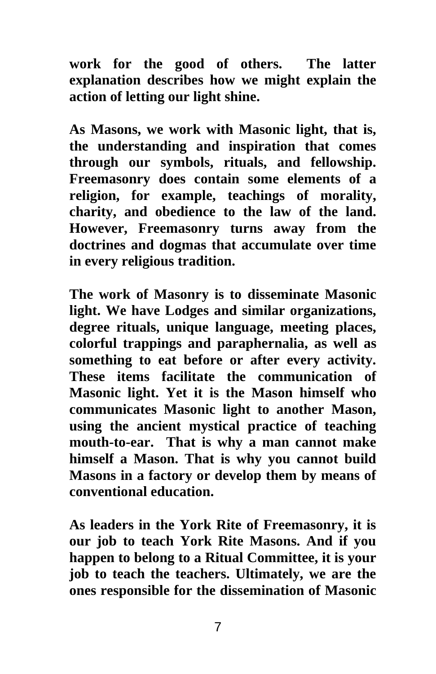**work for the good of others. The latter explanation describes how we might explain the action of letting our light shine.**

**As Masons, we work with Masonic light, that is, the understanding and inspiration that comes through our symbols, rituals, and fellowship. Freemasonry does contain some elements of a religion, for example, teachings of morality, charity, and obedience to the law of the land. However, Freemasonry turns away from the doctrines and dogmas that accumulate over time in every religious tradition.**

**The work of Masonry is to disseminate Masonic light. We have Lodges and similar organizations, degree rituals, unique language, meeting places, colorful trappings and paraphernalia, as well as something to eat before or after every activity. These items facilitate the communication of Masonic light. Yet it is the Mason himself who communicates Masonic light to another Mason, using the ancient mystical practice of teaching mouth-to-ear. That is why a man cannot make himself a Mason. That is why you cannot build Masons in a factory or develop them by means of conventional education.** 

**As leaders in the York Rite of Freemasonry, it is our job to teach York Rite Masons. And if you happen to belong to a Ritual Committee, it is your job to teach the teachers. Ultimately, we are the ones responsible for the dissemination of Masonic**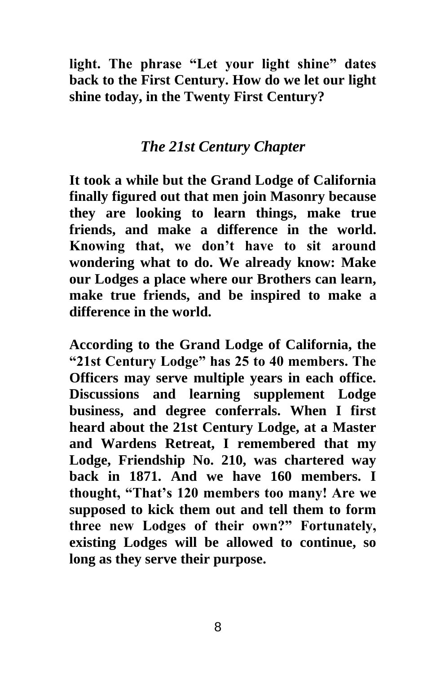**light. The phrase "Let your light shine" dates back to the First Century. How do we let our light shine today, in the Twenty First Century?**

## *The 21st Century Chapter*

**It took a while but the Grand Lodge of California finally figured out that men join Masonry because they are looking to learn things, make true friends, and make a difference in the world. Knowing that, we don't have to sit around wondering what to do. We already know: Make our Lodges a place where our Brothers can learn, make true friends, and be inspired to make a difference in the world.**

**According to the Grand Lodge of California, the "21st Century Lodge" has 25 to 40 members. The Officers may serve multiple years in each office. Discussions and learning supplement Lodge business, and degree conferrals. When I first heard about the 21st Century Lodge, at a Master and Wardens Retreat, I remembered that my Lodge, Friendship No. 210, was chartered way back in 1871. And we have 160 members. I thought, "That's 120 members too many! Are we supposed to kick them out and tell them to form three new Lodges of their own?" Fortunately, existing Lodges will be allowed to continue, so long as they serve their purpose.**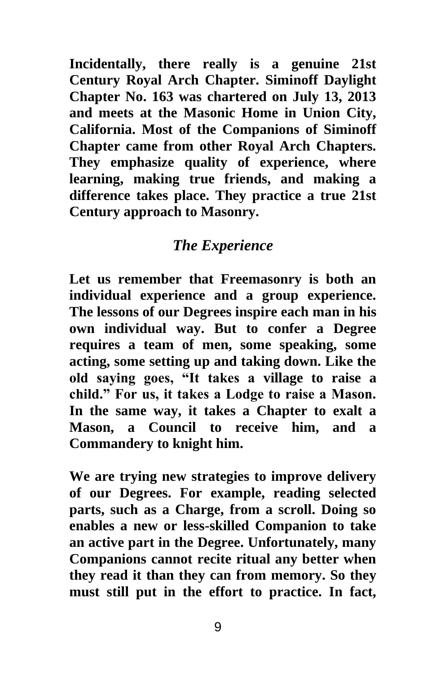**Incidentally, there really is a genuine 21st Century Royal Arch Chapter. Siminoff Daylight Chapter No. 163 was chartered on July 13, 2013 and meets at the Masonic Home in Union City, California. Most of the Companions of Siminoff Chapter came from other Royal Arch Chapters. They emphasize quality of experience, where learning, making true friends, and making a difference takes place. They practice a true 21st Century approach to Masonry.**

# *The Experience*

**Let us remember that Freemasonry is both an individual experience and a group experience. The lessons of our Degrees inspire each man in his own individual way. But to confer a Degree requires a team of men, some speaking, some acting, some setting up and taking down. Like the old saying goes, "It takes a village to raise a child." For us, it takes a Lodge to raise a Mason. In the same way, it takes a Chapter to exalt a Mason, a Council to receive him, and a Commandery to knight him.**

**We are trying new strategies to improve delivery of our Degrees. For example, reading selected parts, such as a Charge, from a scroll. Doing so enables a new or less-skilled Companion to take an active part in the Degree. Unfortunately, many Companions cannot recite ritual any better when they read it than they can from memory. So they must still put in the effort to practice. In fact,**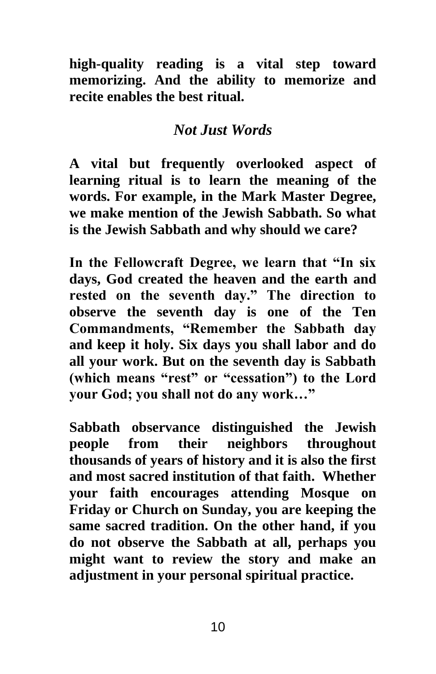**high-quality reading is a vital step toward memorizing. And the ability to memorize and recite enables the best ritual.**

# *Not Just Words*

**A vital but frequently overlooked aspect of learning ritual is to learn the meaning of the words. For example, in the Mark Master Degree, we make mention of the Jewish Sabbath. So what is the Jewish Sabbath and why should we care?** 

**In the Fellowcraft Degree, we learn that "In six days, God created the heaven and the earth and rested on the seventh day." The direction to observe the seventh day is one of the Ten Commandments, "Remember the Sabbath day and keep it holy. Six days you shall labor and do all your work. But on the seventh day is Sabbath (which means "rest" or "cessation") to the Lord your God; you shall not do any work…"**

**Sabbath observance distinguished the Jewish people from their neighbors throughout thousands of years of history and it is also the first and most sacred institution of that faith. Whether your faith encourages attending Mosque on Friday or Church on Sunday, you are keeping the same sacred tradition. On the other hand, if you do not observe the Sabbath at all, perhaps you might want to review the story and make an adjustment in your personal spiritual practice.**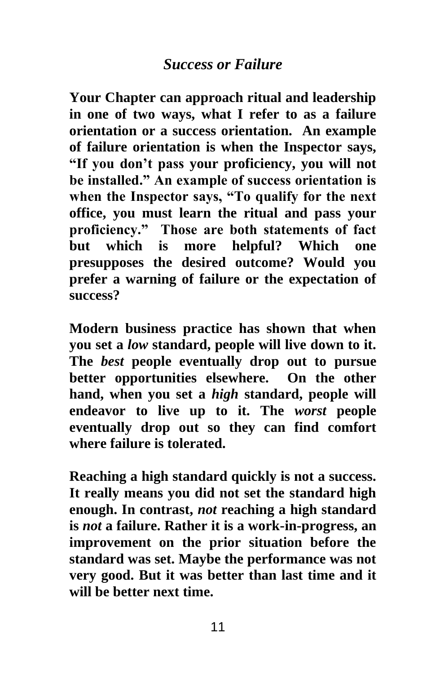**Your Chapter can approach ritual and leadership in one of two ways, what I refer to as a failure orientation or a success orientation. An example of failure orientation is when the Inspector says, "If you don't pass your proficiency, you will not be installed." An example of success orientation is when the Inspector says, "To qualify for the next office, you must learn the ritual and pass your proficiency." Those are both statements of fact but which is more helpful? Which one presupposes the desired outcome? Would you prefer a warning of failure or the expectation of success?**

**Modern business practice has shown that when you set a** *low* **standard, people will live down to it. The** *best* **people eventually drop out to pursue better opportunities elsewhere. On the other hand, when you set a** *high* **standard, people will endeavor to live up to it. The** *worst* **people eventually drop out so they can find comfort where failure is tolerated.**

**Reaching a high standard quickly is not a success. It really means you did not set the standard high enough. In contrast,** *not* **reaching a high standard is** *not* **a failure. Rather it is a work-in-progress, an improvement on the prior situation before the standard was set. Maybe the performance was not very good. But it was better than last time and it will be better next time.**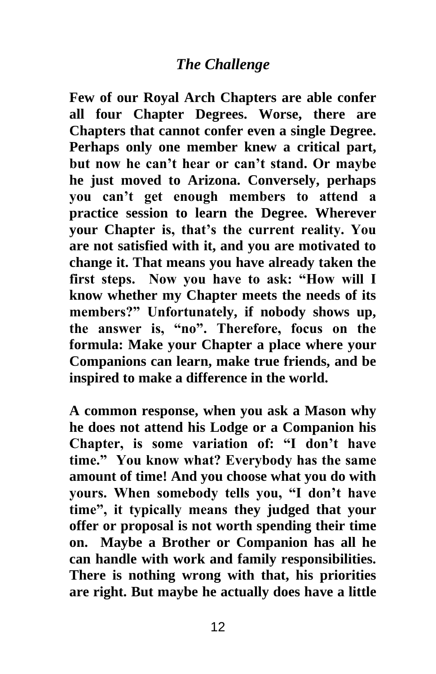## *The Challenge*

**Few of our Royal Arch Chapters are able confer all four Chapter Degrees. Worse, there are Chapters that cannot confer even a single Degree. Perhaps only one member knew a critical part, but now he can't hear or can't stand. Or maybe he just moved to Arizona. Conversely, perhaps you can't get enough members to attend a practice session to learn the Degree. Wherever your Chapter is, that's the current reality. You are not satisfied with it, and you are motivated to change it. That means you have already taken the first steps. Now you have to ask: "How will I know whether my Chapter meets the needs of its members?" Unfortunately, if nobody shows up, the answer is, "no". Therefore, focus on the formula: Make your Chapter a place where your Companions can learn, make true friends, and be inspired to make a difference in the world.**

**A common response, when you ask a Mason why he does not attend his Lodge or a Companion his Chapter, is some variation of: "I don't have time." You know what? Everybody has the same amount of time! And you choose what you do with yours. When somebody tells you, "I don't have time", it typically means they judged that your offer or proposal is not worth spending their time on. Maybe a Brother or Companion has all he can handle with work and family responsibilities. There is nothing wrong with that, his priorities are right. But maybe he actually does have a little**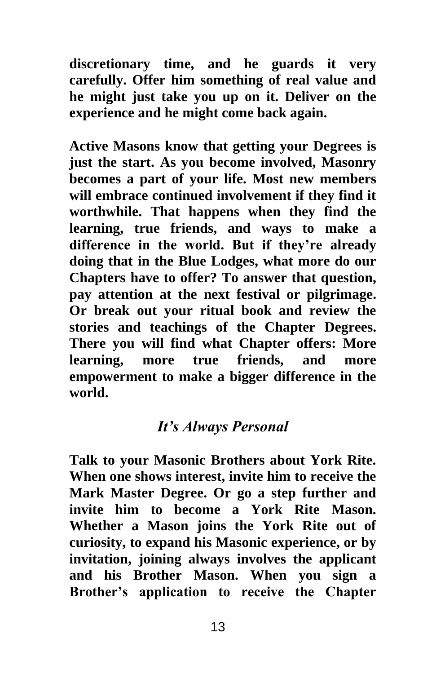**discretionary time, and he guards it very carefully. Offer him something of real value and he might just take you up on it. Deliver on the experience and he might come back again.**

**Active Masons know that getting your Degrees is just the start. As you become involved, Masonry becomes a part of your life. Most new members will embrace continued involvement if they find it worthwhile. That happens when they find the learning, true friends, and ways to make a difference in the world. But if they're already doing that in the Blue Lodges, what more do our Chapters have to offer? To answer that question, pay attention at the next festival or pilgrimage. Or break out your ritual book and review the stories and teachings of the Chapter Degrees. There you will find what Chapter offers: More learning, more true friends, and more empowerment to make a bigger difference in the world.**

### *It's Always Personal*

**Talk to your Masonic Brothers about York Rite. When one shows interest, invite him to receive the Mark Master Degree. Or go a step further and invite him to become a York Rite Mason. Whether a Mason joins the York Rite out of curiosity, to expand his Masonic experience, or by invitation, joining always involves the applicant and his Brother Mason. When you sign a Brother's application to receive the Chapter**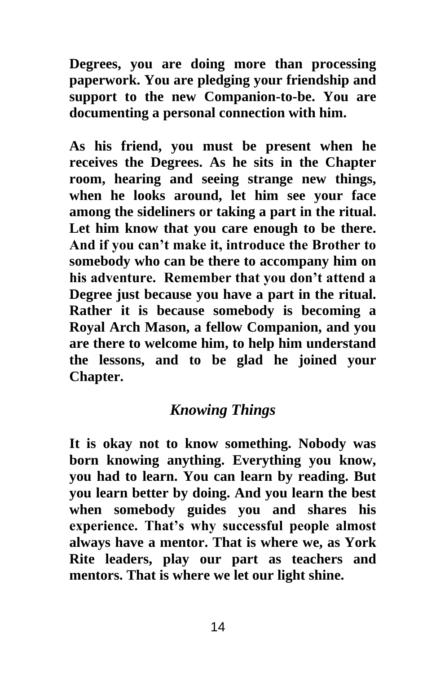**Degrees, you are doing more than processing paperwork. You are pledging your friendship and support to the new Companion-to-be. You are documenting a personal connection with him.**

**As his friend, you must be present when he receives the Degrees. As he sits in the Chapter room, hearing and seeing strange new things, when he looks around, let him see your face among the sideliners or taking a part in the ritual. Let him know that you care enough to be there. And if you can't make it, introduce the Brother to somebody who can be there to accompany him on his adventure. Remember that you don't attend a Degree just because you have a part in the ritual. Rather it is because somebody is becoming a Royal Arch Mason, a fellow Companion, and you are there to welcome him, to help him understand the lessons, and to be glad he joined your Chapter.**

# *Knowing Things*

**It is okay not to know something. Nobody was born knowing anything. Everything you know, you had to learn. You can learn by reading. But you learn better by doing. And you learn the best when somebody guides you and shares his experience. That's why successful people almost always have a mentor. That is where we, as York Rite leaders, play our part as teachers and mentors. That is where we let our light shine.**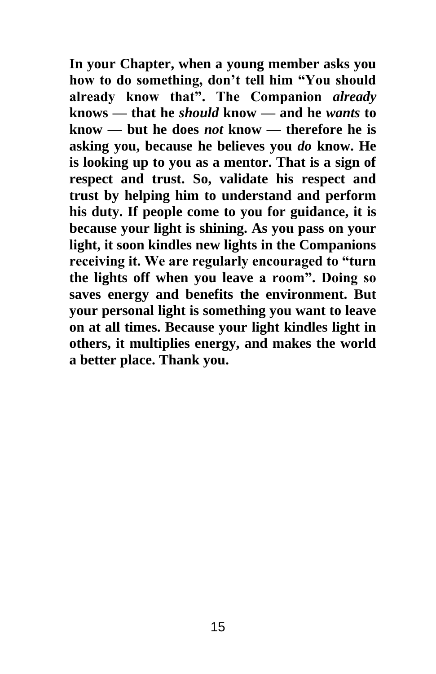**In your Chapter, when a young member asks you how to do something, don't tell him "You should already know that". The Companion** *already* **knows — that he** *should* **know — and he** *wants* **to know — but he does** *not* **know — therefore he is asking you, because he believes you** *do* **know. He is looking up to you as a mentor. That is a sign of respect and trust. So, validate his respect and trust by helping him to understand and perform his duty. If people come to you for guidance, it is because your light is shining. As you pass on your light, it soon kindles new lights in the Companions receiving it. We are regularly encouraged to "turn the lights off when you leave a room". Doing so saves energy and benefits the environment. But your personal light is something you want to leave on at all times. Because your light kindles light in others, it multiplies energy, and makes the world a better place. Thank you.**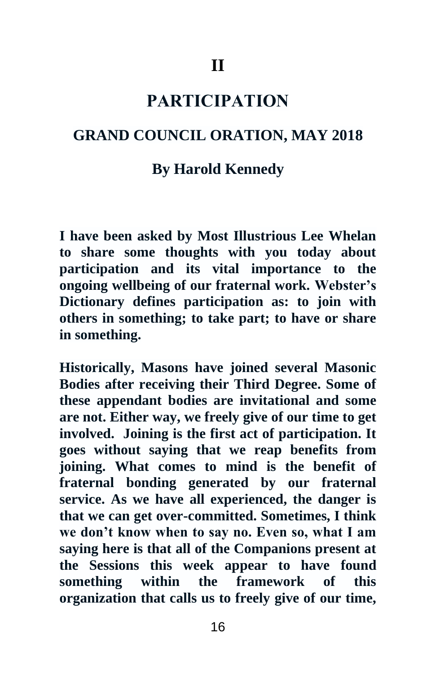# **PARTICIPATION**

### **GRAND COUNCIL ORATION, MAY 2018**

### **By Harold Kennedy**

**I have been asked by Most Illustrious Lee Whelan to share some thoughts with you today about participation and its vital importance to the ongoing wellbeing of our fraternal work. Webster's Dictionary defines participation as: to join with others in something; to take part; to have or share in something.**

**Historically, Masons have joined several Masonic Bodies after receiving their Third Degree. Some of these appendant bodies are invitational and some are not. Either way, we freely give of our time to get involved. Joining is the first act of participation. It goes without saying that we reap benefits from joining. What comes to mind is the benefit of fraternal bonding generated by our fraternal service. As we have all experienced, the danger is that we can get over-committed. Sometimes, I think we don't know when to say no. Even so, what I am saying here is that all of the Companions present at the Sessions this week appear to have found something within the framework of this organization that calls us to freely give of our time,**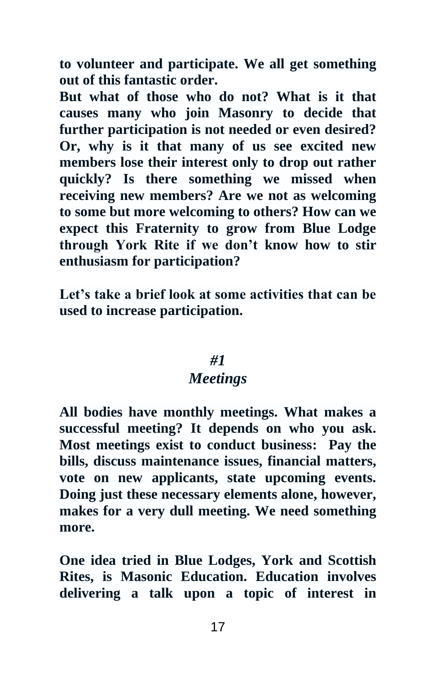**to volunteer and participate. We all get something out of this fantastic order.** 

**But what of those who do not? What is it that causes many who join Masonry to decide that further participation is not needed or even desired? Or, why is it that many of us see excited new members lose their interest only to drop out rather quickly? Is there something we missed when receiving new members? Are we not as welcoming to some but more welcoming to others? How can we expect this Fraternity to grow from Blue Lodge through York Rite if we don't know how to stir enthusiasm for participation?**

**Let's take a brief look at some activities that can be used to increase participation.** 

## *#1 Meetings*

**All bodies have monthly meetings. What makes a successful meeting? It depends on who you ask. Most meetings exist to conduct business: Pay the bills, discuss maintenance issues, financial matters, vote on new applicants, state upcoming events. Doing just these necessary elements alone, however, makes for a very dull meeting. We need something more.**

**One idea tried in Blue Lodges, York and Scottish Rites, is Masonic Education. Education involves delivering a talk upon a topic of interest in**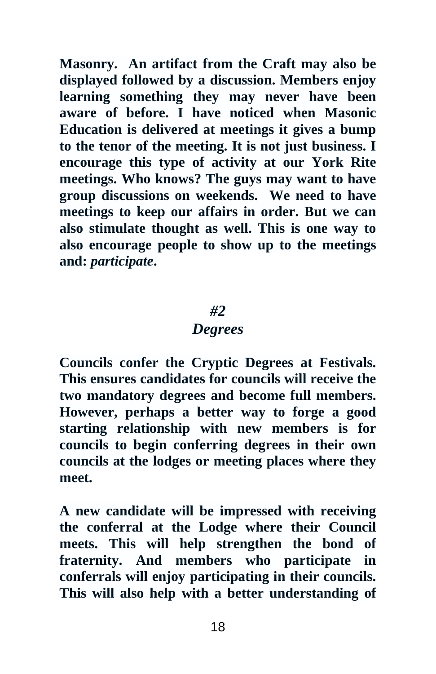**Masonry. An artifact from the Craft may also be displayed followed by a discussion. Members enjoy learning something they may never have been aware of before. I have noticed when Masonic Education is delivered at meetings it gives a bump to the tenor of the meeting. It is not just business. I encourage this type of activity at our York Rite meetings. Who knows? The guys may want to have group discussions on weekends. We need to have meetings to keep our affairs in order. But we can also stimulate thought as well. This is one way to also encourage people to show up to the meetings and:** *participate***.**

#### *#2*

## *Degrees*

**Councils confer the Cryptic Degrees at Festivals. This ensures candidates for councils will receive the two mandatory degrees and become full members. However, perhaps a better way to forge a good starting relationship with new members is for councils to begin conferring degrees in their own councils at the lodges or meeting places where they meet.** 

**A new candidate will be impressed with receiving the conferral at the Lodge where their Council meets. This will help strengthen the bond of fraternity. And members who participate in conferrals will enjoy participating in their councils. This will also help with a better understanding of**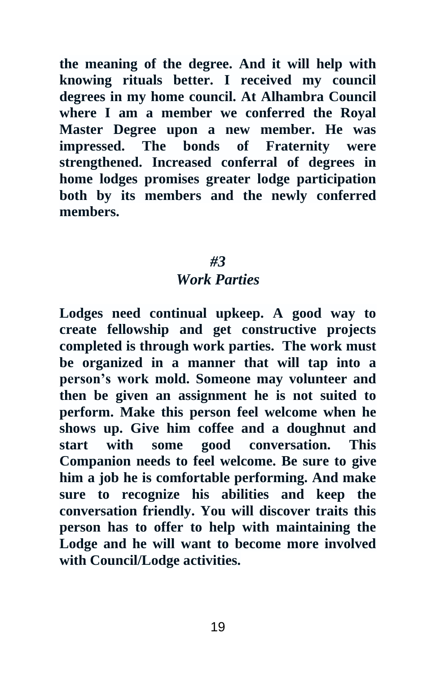**the meaning of the degree. And it will help with knowing rituals better. I received my council degrees in my home council. At Alhambra Council where I am a member we conferred the Royal Master Degree upon a new member. He was impressed. The bonds of Fraternity were strengthened. Increased conferral of degrees in home lodges promises greater lodge participation both by its members and the newly conferred members.**

#### *#3*

# *Work Parties*

**Lodges need continual upkeep. A good way to create fellowship and get constructive projects completed is through work parties. The work must be organized in a manner that will tap into a person's work mold. Someone may volunteer and then be given an assignment he is not suited to perform. Make this person feel welcome when he shows up. Give him coffee and a doughnut and start with some good conversation. This Companion needs to feel welcome. Be sure to give him a job he is comfortable performing. And make sure to recognize his abilities and keep the conversation friendly. You will discover traits this person has to offer to help with maintaining the Lodge and he will want to become more involved with Council/Lodge activities.**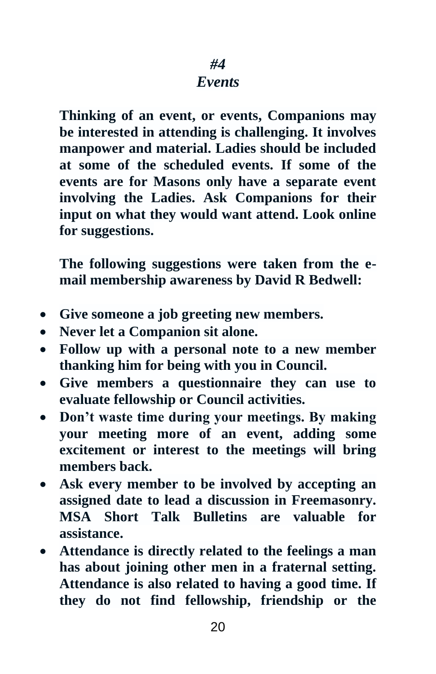# *#4 Events*

**Thinking of an event, or events, Companions may be interested in attending is challenging. It involves manpower and material. Ladies should be included at some of the scheduled events. If some of the events are for Masons only have a separate event involving the Ladies. Ask Companions for their input on what they would want attend. Look online for suggestions.**

**The following suggestions were taken from the email membership awareness by David R Bedwell:**

- **Give someone a job greeting new members.**
- **Never let a Companion sit alone.**
- **Follow up with a personal note to a new member thanking him for being with you in Council.**
- **Give members a questionnaire they can use to evaluate fellowship or Council activities.**
- **Don't waste time during your meetings. By making your meeting more of an event, adding some excitement or interest to the meetings will bring members back.**
- **Ask every member to be involved by accepting an assigned date to lead a discussion in Freemasonry. MSA Short Talk Bulletins are valuable for assistance.**
- **Attendance is directly related to the feelings a man has about joining other men in a fraternal setting. Attendance is also related to having a good time. If they do not find fellowship, friendship or the**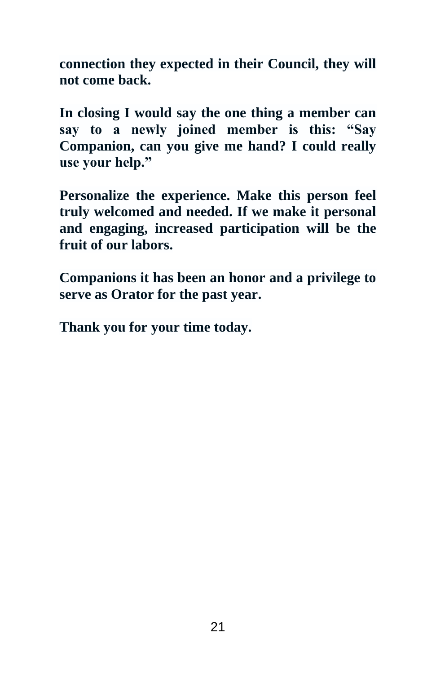**connection they expected in their Council, they will not come back.**

**In closing I would say the one thing a member can say to a newly joined member is this: "Say Companion, can you give me hand? I could really use your help."** 

**Personalize the experience. Make this person feel truly welcomed and needed. If we make it personal and engaging, increased participation will be the fruit of our labors.**

**Companions it has been an honor and a privilege to serve as Orator for the past year.**

**Thank you for your time today.**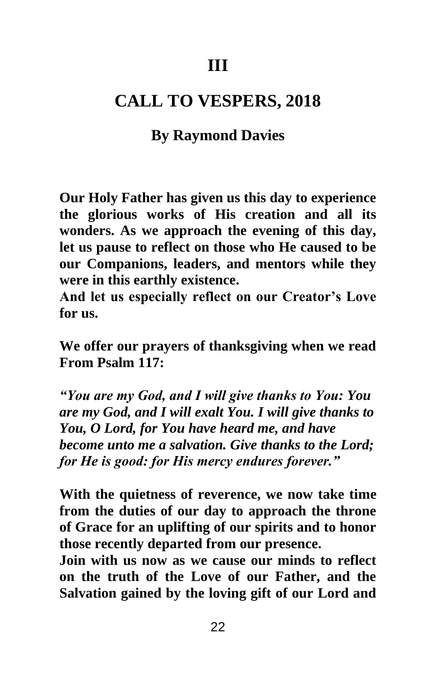# **CALL TO VESPERS, 2018**

## **By Raymond Davies**

**Our Holy Father has given us this day to experience the glorious works of His creation and all its wonders. As we approach the evening of this day, let us pause to reflect on those who He caused to be our Companions, leaders, and mentors while they were in this earthly existence.**

**And let us especially reflect on our Creator's Love for us.** 

**We offer our prayers of thanksgiving when we read From Psalm 117:** 

*"You are my God, and I will give thanks to You: You are my God, and I will exalt You. I will give thanks to You, O Lord, for You have heard me, and have become unto me a salvation. Give thanks to the Lord; for He is good: for His mercy endures forever."*

**With the quietness of reverence, we now take time from the duties of our day to approach the throne of Grace for an uplifting of our spirits and to honor those recently departed from our presence.** 

**Join with us now as we cause our minds to reflect on the truth of the Love of our Father, and the Salvation gained by the loving gift of our Lord and**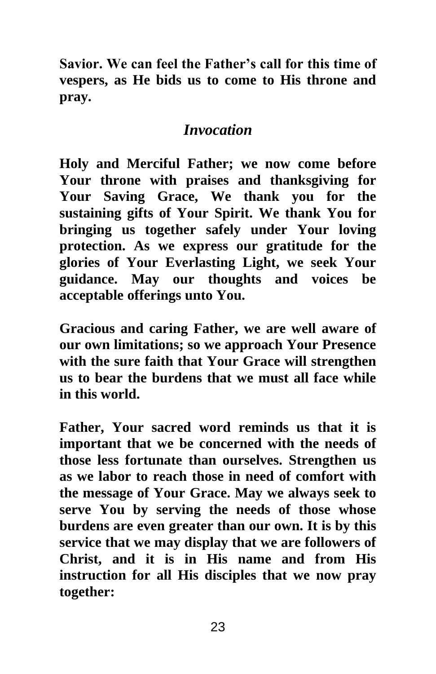**Savior. We can feel the Father's call for this time of vespers, as He bids us to come to His throne and pray.**

# *Invocation*

**Holy and Merciful Father; we now come before Your throne with praises and thanksgiving for Your Saving Grace, We thank you for the sustaining gifts of Your Spirit. We thank You for bringing us together safely under Your loving protection. As we express our gratitude for the glories of Your Everlasting Light, we seek Your guidance. May our thoughts and voices be acceptable offerings unto You.** 

**Gracious and caring Father, we are well aware of our own limitations; so we approach Your Presence with the sure faith that Your Grace will strengthen us to bear the burdens that we must all face while in this world.** 

**Father, Your sacred word reminds us that it is important that we be concerned with the needs of those less fortunate than ourselves. Strengthen us as we labor to reach those in need of comfort with the message of Your Grace. May we always seek to serve You by serving the needs of those whose burdens are even greater than our own. It is by this service that we may display that we are followers of Christ, and it is in His name and from His instruction for all His disciples that we now pray together:**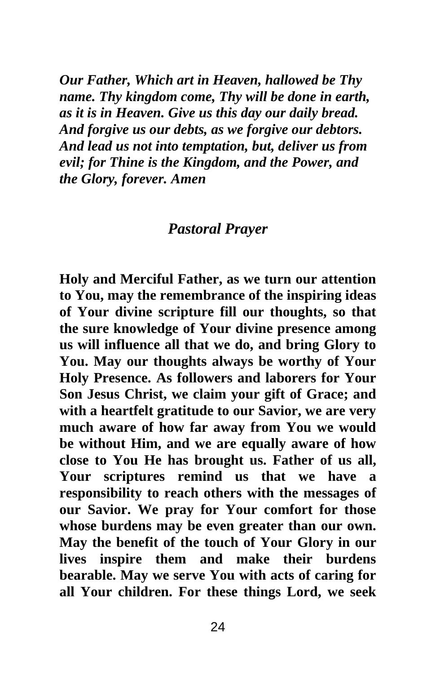*Our Father, Which art in Heaven, hallowed be Thy name. Thy kingdom come, Thy will be done in earth, as it is in Heaven. Give us this day our daily bread. And forgive us our debts, as we forgive our debtors. And lead us not into temptation, but, deliver us from evil; for Thine is the Kingdom, and the Power, and the Glory, forever. Amen* 

#### *Pastoral Prayer*

**Holy and Merciful Father, as we turn our attention to You, may the remembrance of the inspiring ideas of Your divine scripture fill our thoughts, so that the sure knowledge of Your divine presence among us will influence all that we do, and bring Glory to You. May our thoughts always be worthy of Your Holy Presence. As followers and laborers for Your Son Jesus Christ, we claim your gift of Grace; and with a heartfelt gratitude to our Savior, we are very much aware of how far away from You we would be without Him, and we are equally aware of how close to You He has brought us. Father of us all, Your scriptures remind us that we have a responsibility to reach others with the messages of our Savior. We pray for Your comfort for those whose burdens may be even greater than our own. May the benefit of the touch of Your Glory in our lives inspire them and make their burdens bearable. May we serve You with acts of caring for all Your children. For these things Lord, we seek**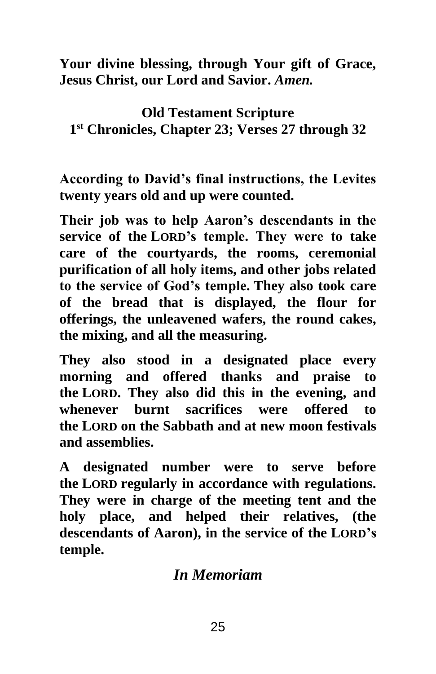**Your divine blessing, through Your gift of Grace, Jesus Christ, our Lord and Savior.** *Amen.*

**Old Testament Scripture 1 st Chronicles, Chapter 23; Verses 27 through 32**

**According to David's final instructions, the Levites twenty years old and up were counted.**

**Their job was to help Aaron's descendants in the service of the LORD's temple. They were to take care of the courtyards, the rooms, ceremonial purification of all holy items, and other jobs related to the service of God's temple. They also took care of the bread that is displayed, the flour for offerings, the unleavened wafers, the round cakes, the mixing, and all the measuring.**

**They also stood in a designated place every morning and offered thanks and praise to the LORD. They also did this in the evening, and whenever burnt sacrifices were offered to the LORD on the Sabbath and at new moon festivals and assemblies.** 

**A designated number were to serve before the LORD regularly in accordance with regulations. They were in charge of the meeting tent and the holy place, and helped their relatives, (the descendants of Aaron), in the service of the LORD's temple.**

# *In Memoriam*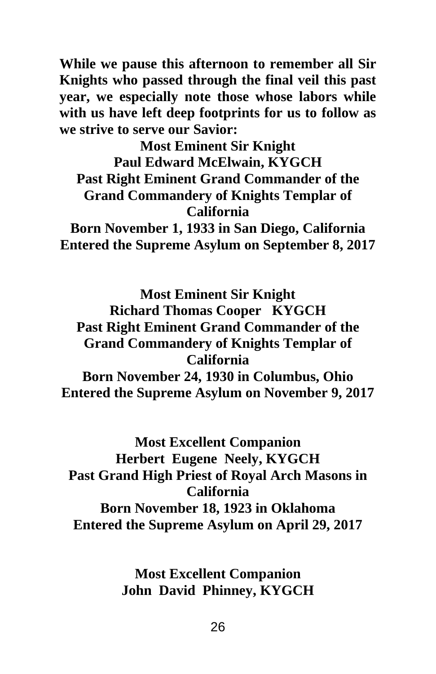**While we pause this afternoon to remember all Sir Knights who passed through the final veil this past year, we especially note those whose labors while with us have left deep footprints for us to follow as we strive to serve our Savior:**

**Most Eminent Sir Knight Paul Edward McElwain, KYGCH Past Right Eminent Grand Commander of the Grand Commandery of Knights Templar of California Born November 1, 1933 in San Diego, California Entered the Supreme Asylum on September 8, 2017**

**Most Eminent Sir Knight Richard Thomas Cooper KYGCH Past Right Eminent Grand Commander of the Grand Commandery of Knights Templar of California Born November 24, 1930 in Columbus, Ohio Entered the Supreme Asylum on November 9, 2017**

**Most Excellent Companion Herbert Eugene Neely, KYGCH Past Grand High Priest of Royal Arch Masons in California Born November 18, 1923 in Oklahoma Entered the Supreme Asylum on April 29, 2017**

> **Most Excellent Companion John David Phinney, KYGCH**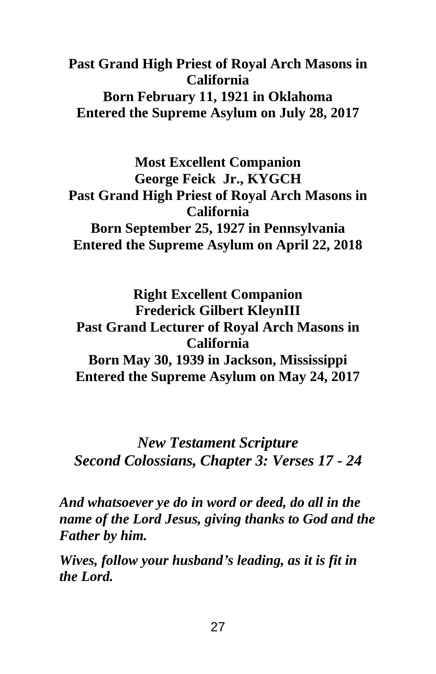### **Past Grand High Priest of Royal Arch Masons in California Born February 11, 1921 in Oklahoma Entered the Supreme Asylum on July 28, 2017**

**Most Excellent Companion George Feick Jr., KYGCH Past Grand High Priest of Royal Arch Masons in California Born September 25, 1927 in Pennsylvania Entered the Supreme Asylum on April 22, 2018**

**Right Excellent Companion Frederick Gilbert KleynIII Past Grand Lecturer of Royal Arch Masons in California Born May 30, 1939 in Jackson, Mississippi Entered the Supreme Asylum on May 24, 2017**

*New Testament Scripture Second Colossians, Chapter 3: Verses 17 - 24*

*And whatsoever ye do in word or deed, do all in the name of the Lord Jesus, giving thanks to God and the Father by him.*

*Wives, follow your husband's leading, as it is fit in the Lord.*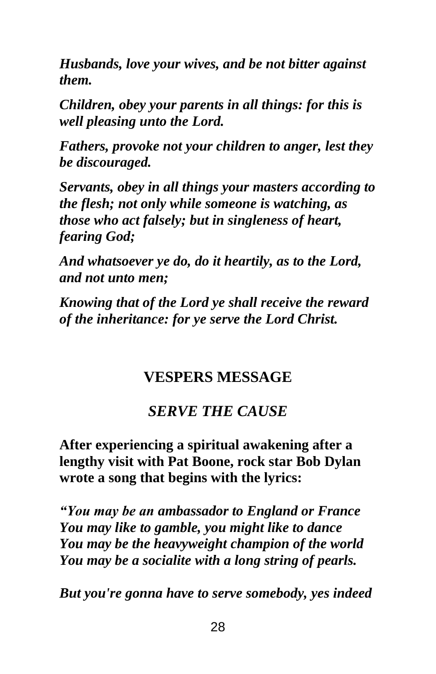*Husbands, love your wives, and be not bitter against them.*

*Children, obey your parents in all things: for this is well pleasing unto the Lord.*

*Fathers, provoke not your children to anger, lest they be discouraged.*

*Servants, obey in all things your masters according to the flesh; not only while someone is watching, as those who act falsely; but in singleness of heart, fearing God;*

*And whatsoever ye do, do it heartily, as to the Lord, and not unto men;*

*Knowing that of the Lord ye shall receive the reward of the inheritance: for ye serve the Lord Christ.*

# **VESPERS MESSAGE**

# *SERVE THE CAUSE*

**After experiencing a spiritual awakening after a lengthy visit with Pat Boone, rock star Bob Dylan wrote a song that begins with the lyrics:**

*"You may be an ambassador to England or France You may like to gamble, you might like to dance You may be the heavyweight champion of the world You may be a socialite with a long string of pearls.*

*But you're gonna have to serve somebody, yes indeed*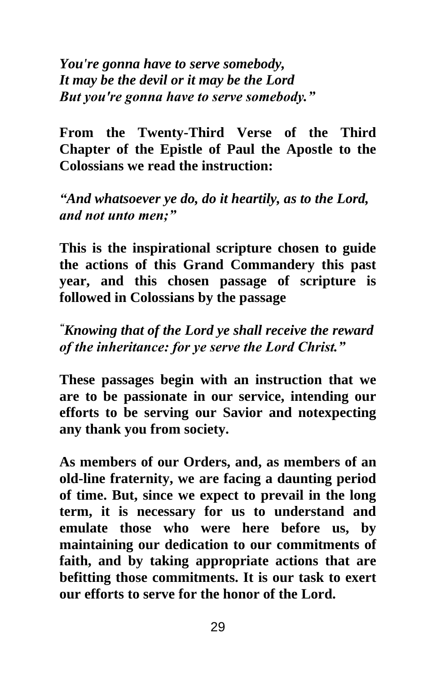*You're gonna have to serve somebody, It may be the devil or it may be the Lord But you're gonna have to serve somebody."*

**From the Twenty-Third Verse of the Third Chapter of the Epistle of Paul the Apostle to the Colossians we read the instruction:** 

*"And whatsoever ye do, do it heartily, as to the Lord, and not unto men;"*

**This is the inspirational scripture chosen to guide the actions of this Grand Commandery this past year, and this chosen passage of scripture is followed in Colossians by the passage** 

*"Knowing that of the Lord ye shall receive the reward of the inheritance: for ye serve the Lord Christ."*

**These passages begin with an instruction that we are to be passionate in our service, intending our efforts to be serving our Savior and notexpecting any thank you from society.** 

**As members of our Orders, and, as members of an old-line fraternity, we are facing a daunting period of time. But, since we expect to prevail in the long term, it is necessary for us to understand and emulate those who were here before us, by maintaining our dedication to our commitments of faith, and by taking appropriate actions that are befitting those commitments. It is our task to exert our efforts to serve for the honor of the Lord.**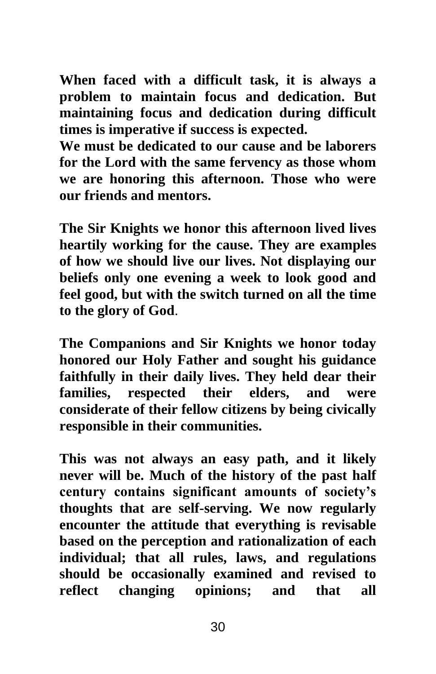**When faced with a difficult task, it is always a problem to maintain focus and dedication. But maintaining focus and dedication during difficult times is imperative if success is expected.** 

**We must be dedicated to our cause and be laborers for the Lord with the same fervency as those whom we are honoring this afternoon. Those who were our friends and mentors.**

**The Sir Knights we honor this afternoon lived lives heartily working for the cause. They are examples of how we should live our lives. Not displaying our beliefs only one evening a week to look good and feel good, but with the switch turned on all the time to the glory of God**.

**The Companions and Sir Knights we honor today honored our Holy Father and sought his guidance faithfully in their daily lives. They held dear their families, respected their elders, and were considerate of their fellow citizens by being civically responsible in their communities.** 

**This was not always an easy path, and it likely never will be. Much of the history of the past half century contains significant amounts of society's thoughts that are self-serving. We now regularly encounter the attitude that everything is revisable based on the perception and rationalization of each individual; that all rules, laws, and regulations should be occasionally examined and revised to reflect changing opinions; and that all**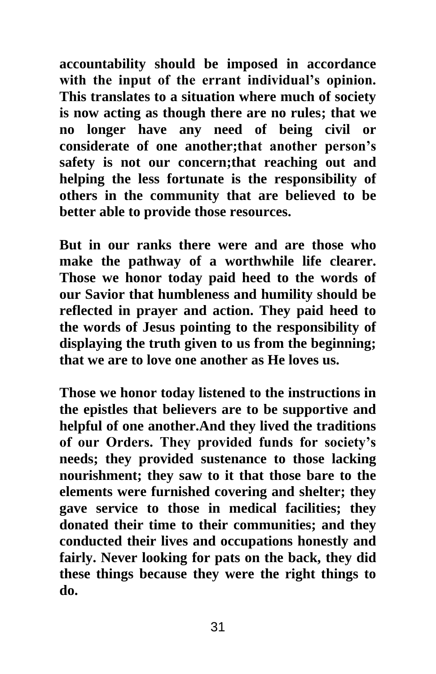**accountability should be imposed in accordance with the input of the errant individual's opinion. This translates to a situation where much of society is now acting as though there are no rules; that we no longer have any need of being civil or considerate of one another;that another person's safety is not our concern;that reaching out and helping the less fortunate is the responsibility of others in the community that are believed to be better able to provide those resources.** 

**But in our ranks there were and are those who make the pathway of a worthwhile life clearer. Those we honor today paid heed to the words of our Savior that humbleness and humility should be reflected in prayer and action. They paid heed to the words of Jesus pointing to the responsibility of displaying the truth given to us from the beginning; that we are to love one another as He loves us.**

**Those we honor today listened to the instructions in the epistles that believers are to be supportive and helpful of one another.And they lived the traditions of our Orders. They provided funds for society's needs; they provided sustenance to those lacking nourishment; they saw to it that those bare to the elements were furnished covering and shelter; they gave service to those in medical facilities; they donated their time to their communities; and they conducted their lives and occupations honestly and fairly. Never looking for pats on the back, they did these things because they were the right things to do.**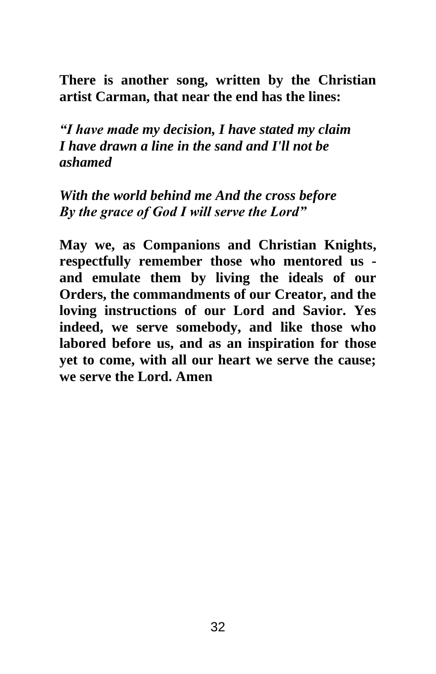**There is another song, written by the Christian artist Carman, that near the end has the lines:**

*"I have made my decision, I have stated my claim I have drawn a line in the sand and I'll not be ashamed*

*With the world behind me And the cross before By the grace of God I will serve the Lord"*

**May we, as Companions and Christian Knights, respectfully remember those who mentored us and emulate them by living the ideals of our Orders, the commandments of our Creator, and the loving instructions of our Lord and Savior. Yes indeed, we serve somebody, and like those who labored before us, and as an inspiration for those yet to come, with all our heart we serve the cause; we serve the Lord. Amen**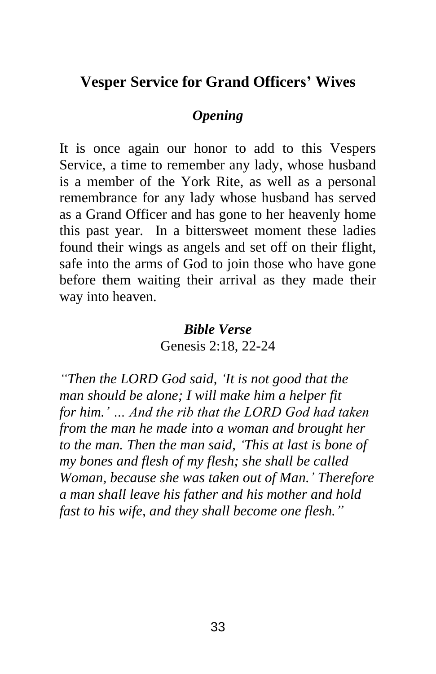# **Vesper Service for Grand Officers' Wives**

### *Opening*

It is once again our honor to add to this Vespers Service, a time to remember any lady, whose husband is a member of the York Rite, as well as a personal remembrance for any lady whose husband has served as a Grand Officer and has gone to her heavenly home this past year. In a bittersweet moment these ladies found their wings as angels and set off on their flight, safe into the arms of God to join those who have gone before them waiting their arrival as they made their way into heaven.

#### *Bible Verse*

Genesis 2:18, 22-24

*"Then the LORD God said, 'It is not good that the man should be alone; I will make him a helper fit for him.' … And the rib that the LORD God had taken from the man he made into a woman and brought her to the man. Then the man said, 'This at last is bone of my bones and flesh of my flesh; she shall be called Woman, because she was taken out of Man.' Therefore a man shall leave his father and his mother and hold fast to his wife, and they shall become one flesh."*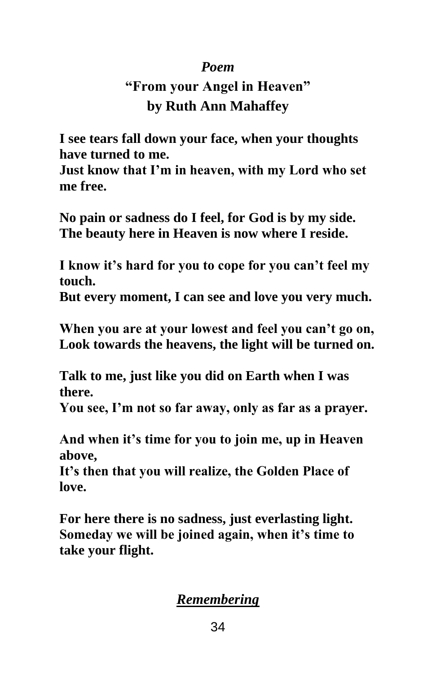### *Poem*

# **"From your Angel in Heaven" by Ruth Ann Mahaffey**

**I see tears fall down your face, when your thoughts have turned to me.** 

**Just know that I'm in heaven, with my Lord who set me free.**

**No pain or sadness do I feel, for God is by my side. The beauty here in Heaven is now where I reside.**

**I know it's hard for you to cope for you can't feel my touch.** 

**But every moment, I can see and love you very much.**

**When you are at your lowest and feel you can't go on, Look towards the heavens, the light will be turned on.**

**Talk to me, just like you did on Earth when I was there.** 

**You see, I'm not so far away, only as far as a prayer.**

**And when it's time for you to join me, up in Heaven above,** 

**It's then that you will realize, the Golden Place of love.**

**For here there is no sadness, just everlasting light. Someday we will be joined again, when it's time to take your flight.**

# *Remembering*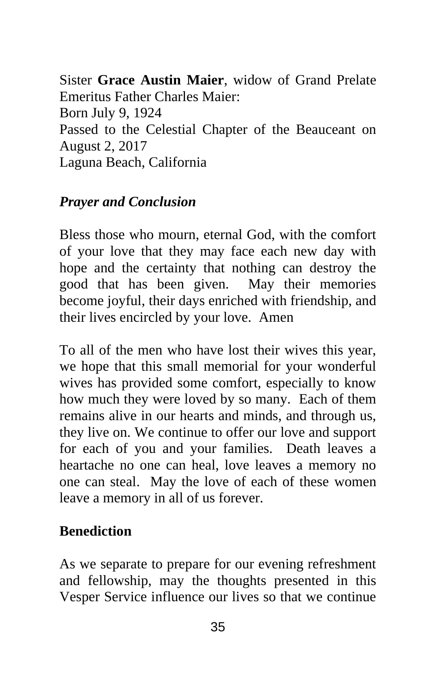Sister **Grace Austin Maier**, widow of Grand Prelate Emeritus Father Charles Maier: Born July 9, 1924 Passed to the Celestial Chapter of the Beauceant on August 2, 2017 Laguna Beach, California

# *Prayer and Conclusion*

Bless those who mourn, eternal God, with the comfort of your love that they may face each new day with hope and the certainty that nothing can destroy the good that has been given. May their memories become joyful, their days enriched with friendship, and their lives encircled by your love. Amen

To all of the men who have lost their wives this year, we hope that this small memorial for your wonderful wives has provided some comfort, especially to know how much they were loved by so many. Each of them remains alive in our hearts and minds, and through us, they live on. We continue to offer our love and support for each of you and your families. Death leaves a heartache no one can heal, love leaves a memory no one can steal. May the love of each of these women leave a memory in all of us forever.

# **Benediction**

As we separate to prepare for our evening refreshment and fellowship, may the thoughts presented in this Vesper Service influence our lives so that we continue